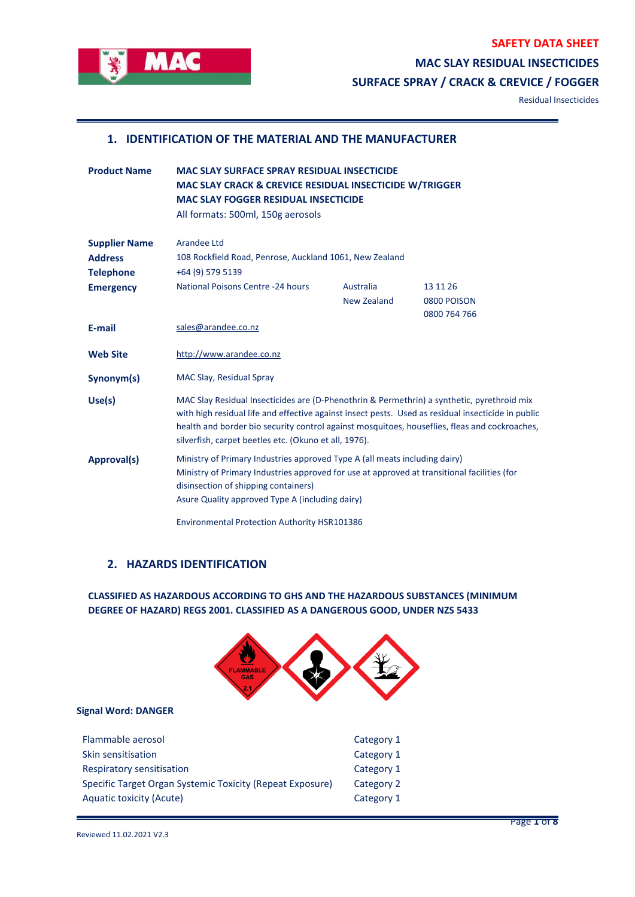**SAFETY DATA SHEET**



## **MAC SLAY RESIDUAL INSECTICIDES**

**SURFACE SPRAY / CRACK & CREVICE / FOGGER**

Residual Insecticides

#### **1. IDENTIFICATION OF THE MATERIAL AND THE MANUFACTURER**

| <b>Product Name</b>                                        | <b>MAC SLAY SURFACE SPRAY RESIDUAL INSECTICIDE</b><br><b>MAC SLAY CRACK &amp; CREVICE RESIDUAL INSECTICIDE W/TRIGGER</b><br><b>MAC SLAY FOGGER RESIDUAL INSECTICIDE</b>                                                                                                                                                                                    |                          |                                         |
|------------------------------------------------------------|------------------------------------------------------------------------------------------------------------------------------------------------------------------------------------------------------------------------------------------------------------------------------------------------------------------------------------------------------------|--------------------------|-----------------------------------------|
|                                                            | All formats: 500ml, 150g aerosols                                                                                                                                                                                                                                                                                                                          |                          |                                         |
| <b>Supplier Name</b><br><b>Address</b><br><b>Telephone</b> | Arandee Ltd<br>108 Rockfield Road, Penrose, Auckland 1061, New Zealand<br>+64 (9) 579 5139                                                                                                                                                                                                                                                                 |                          |                                         |
| <b>Emergency</b>                                           | <b>National Poisons Centre -24 hours</b>                                                                                                                                                                                                                                                                                                                   | Australia<br>New Zealand | 13 11 26<br>0800 POISON<br>0800 764 766 |
| E-mail                                                     | sales@arandee.co.nz                                                                                                                                                                                                                                                                                                                                        |                          |                                         |
| <b>Web Site</b>                                            | http://www.arandee.co.nz                                                                                                                                                                                                                                                                                                                                   |                          |                                         |
| Synonym(s)                                                 | MAC Slay, Residual Spray                                                                                                                                                                                                                                                                                                                                   |                          |                                         |
| Use(s)                                                     | MAC Slay Residual Insecticides are (D-Phenothrin & Permethrin) a synthetic, pyrethroid mix<br>with high residual life and effective against insect pests. Used as residual insecticide in public<br>health and border bio security control against mosquitoes, houseflies, fleas and cockroaches,<br>silverfish, carpet beetles etc. (Okuno et all, 1976). |                          |                                         |
| <b>Approval(s)</b>                                         | Ministry of Primary Industries approved Type A (all meats including dairy)<br>Ministry of Primary Industries approved for use at approved at transitional facilities (for<br>disinsection of shipping containers)<br>Asure Quality approved Type A (including dairy)                                                                                       |                          |                                         |
|                                                            | <b>Environmental Protection Authority HSR101386</b>                                                                                                                                                                                                                                                                                                        |                          |                                         |

### **2. HAZARDS IDENTIFICATION**

**CLASSIFIED AS HAZARDOUS ACCORDING TO GHS AND THE HAZARDOUS SUBSTANCES (MINIMUM DEGREE OF HAZARD) REGS 2001. CLASSIFIED AS A DANGEROUS GOOD, UNDER NZS 5433**



#### **Signal Word: DANGER**

| Flammable aerosol                                         | Category 1 |
|-----------------------------------------------------------|------------|
| Skin sensitisation                                        | Category 1 |
| Respiratory sensitisation                                 | Category 1 |
| Specific Target Organ Systemic Toxicity (Repeat Exposure) | Category 2 |
| Aquatic toxicity (Acute)                                  | Category 1 |
|                                                           |            |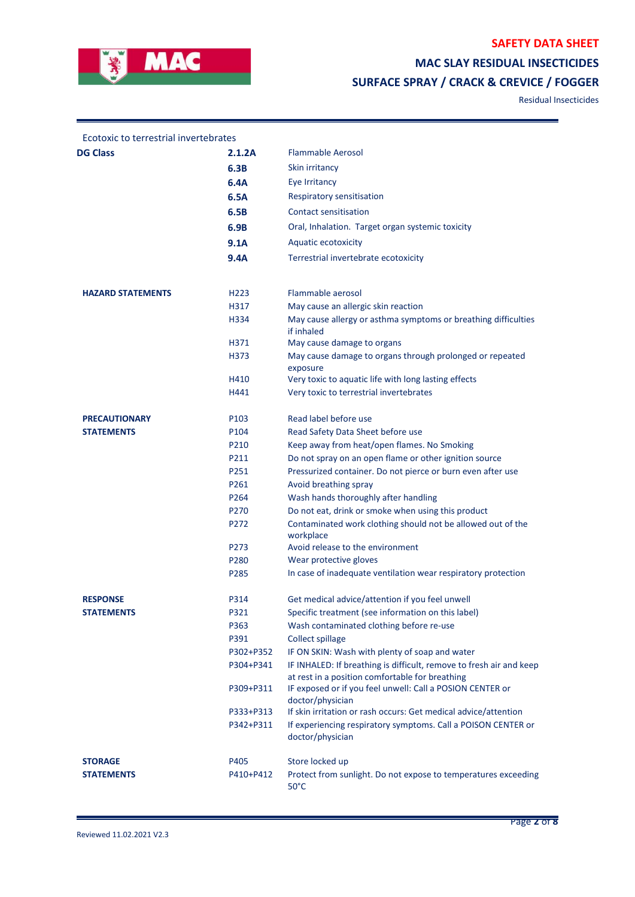

## **SAFETY DATA SHEET**

**MAC SLAY RESIDUAL INSECTICIDES** 

# **SURFACE SPRAY / CRACK & CREVICE / FOGGER**

Residual Insecticides

| Ecotoxic to terrestrial invertebrates |                  |                                                                               |
|---------------------------------------|------------------|-------------------------------------------------------------------------------|
| <b>DG Class</b>                       | 2.1.2A           | <b>Flammable Aerosol</b>                                                      |
|                                       | 6.3B             | Skin irritancy                                                                |
|                                       | 6.4A             | Eye Irritancy                                                                 |
|                                       | 6.5A             | Respiratory sensitisation                                                     |
|                                       | 6.5B             | Contact sensitisation                                                         |
|                                       | 6.9B             | Oral, Inhalation. Target organ systemic toxicity                              |
|                                       | 9.1A             | Aquatic ecotoxicity                                                           |
|                                       | 9.4A             | Terrestrial invertebrate ecotoxicity                                          |
|                                       |                  |                                                                               |
| <b>HAZARD STATEMENTS</b>              | H <sub>223</sub> | Flammable aerosol                                                             |
|                                       | H317             | May cause an allergic skin reaction                                           |
|                                       | H334             | May cause allergy or asthma symptoms or breathing difficulties<br>if inhaled  |
|                                       | H371             | May cause damage to organs                                                    |
|                                       | H373             | May cause damage to organs through prolonged or repeated                      |
|                                       |                  | exposure                                                                      |
|                                       | H410<br>H441     | Very toxic to aquatic life with long lasting effects                          |
|                                       |                  | Very toxic to terrestrial invertebrates                                       |
| <b>PRECAUTIONARY</b>                  | P103             | Read label before use                                                         |
| <b>STATEMENTS</b>                     | P104             | Read Safety Data Sheet before use                                             |
|                                       | P210             | Keep away from heat/open flames. No Smoking                                   |
|                                       | P211             | Do not spray on an open flame or other ignition source                        |
|                                       | P251             | Pressurized container. Do not pierce or burn even after use                   |
|                                       | P261             | Avoid breathing spray                                                         |
|                                       | P264             | Wash hands thoroughly after handling                                          |
|                                       | P270             | Do not eat, drink or smoke when using this product                            |
|                                       | P272             | Contaminated work clothing should not be allowed out of the<br>workplace      |
|                                       | P273             | Avoid release to the environment                                              |
|                                       | P280             | Wear protective gloves                                                        |
|                                       | P285             | In case of inadequate ventilation wear respiratory protection                 |
| <b>RESPONSE</b>                       | P314             | Get medical advice/attention if you feel unwell                               |
| <b>STATEMENTS</b>                     | P321             | Specific treatment (see information on this label)                            |
|                                       | P363             | Wash contaminated clothing before re-use                                      |
|                                       | P391             | Collect spillage                                                              |
|                                       | P302+P352        | IF ON SKIN: Wash with plenty of soap and water                                |
|                                       | P304+P341        | IF INHALED: If breathing is difficult, remove to fresh air and keep           |
|                                       |                  | at rest in a position comfortable for breathing                               |
|                                       | P309+P311        | IF exposed or if you feel unwell: Call a POSION CENTER or<br>doctor/physician |
|                                       | P333+P313        | If skin irritation or rash occurs: Get medical advice/attention               |
|                                       | P342+P311        | If experiencing respiratory symptoms. Call a POISON CENTER or                 |
|                                       |                  | doctor/physician                                                              |
| <b>STORAGE</b>                        | P405             | Store locked up                                                               |
| <b>STATEMENTS</b>                     | P410+P412        | Protect from sunlight. Do not expose to temperatures exceeding                |
|                                       |                  | $50^{\circ}$ C                                                                |
|                                       |                  |                                                                               |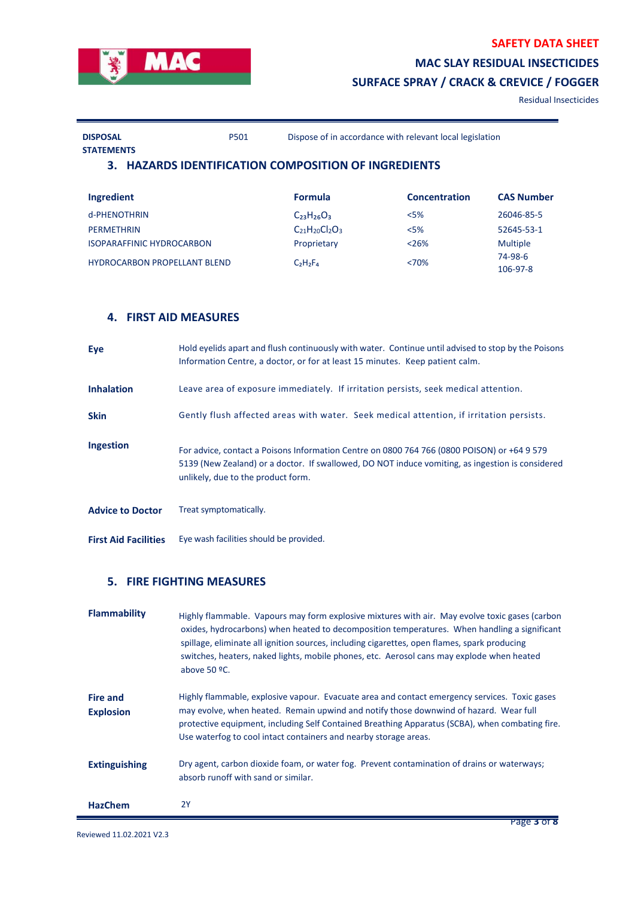

Residual Insecticides

```
DISPOSAL
```
P501 Dispose of in accordance with relevant local legislation

**STATEMENTS**

#### **3. HAZARDS IDENTIFICATION COMPOSITION OF INGREDIENTS**

| Ingredient                          | <b>Formula</b>    | <b>Concentration</b> | <b>CAS Number</b> |
|-------------------------------------|-------------------|----------------------|-------------------|
| d-PHENOTHRIN                        | $C_{23}H_{26}O_3$ | < 5%                 | 26046-85-5        |
| <b>PFRMFTHRIN</b>                   | $C21H20Cl2O3$     | < 5%                 | 52645-53-1        |
| <b>ISOPARAFFINIC HYDROCARBON</b>    | Proprietary       | < 26%                | <b>Multiple</b>   |
| <b>HYDROCARBON PROPELLANT BLEND</b> | $C2H2F4$          | <70%                 | 74-98-6           |
|                                     |                   |                      | 106-97-8          |

#### **4. FIRST AID MEASURES**

| Eye                         | Hold eyelids apart and flush continuously with water. Continue until advised to stop by the Poisons<br>Information Centre, a doctor, or for at least 15 minutes. Keep patient calm.                                                   |
|-----------------------------|---------------------------------------------------------------------------------------------------------------------------------------------------------------------------------------------------------------------------------------|
| <b>Inhalation</b>           | Leave area of exposure immediately. If irritation persists, seek medical attention.                                                                                                                                                   |
| <b>Skin</b>                 | Gently flush affected areas with water. Seek medical attention, if irritation persists.                                                                                                                                               |
| Ingestion                   | For advice, contact a Poisons Information Centre on 0800 764 766 (0800 POISON) or +64 9 579<br>5139 (New Zealand) or a doctor. If swallowed, DO NOT induce vomiting, as ingestion is considered<br>unlikely, due to the product form. |
| <b>Advice to Doctor</b>     | Treat symptomatically.                                                                                                                                                                                                                |
| <b>First Aid Facilities</b> | Eye wash facilities should be provided.                                                                                                                                                                                               |

### **5. FIRE FIGHTING MEASURES**

| <b>Flammability</b>                 | Highly flammable. Vapours may form explosive mixtures with air. May evolve toxic gases (carbon<br>oxides, hydrocarbons) when heated to decomposition temperatures. When handling a significant<br>spillage, eliminate all ignition sources, including cigarettes, open flames, spark producing<br>switches, heaters, naked lights, mobile phones, etc. Aerosol cans may explode when heated<br>above $50$ °C. |
|-------------------------------------|---------------------------------------------------------------------------------------------------------------------------------------------------------------------------------------------------------------------------------------------------------------------------------------------------------------------------------------------------------------------------------------------------------------|
| <b>Fire and</b><br><b>Explosion</b> | Highly flammable, explosive vapour. Evacuate area and contact emergency services. Toxic gases<br>may evolve, when heated. Remain upwind and notify those downwind of hazard. Wear full<br>protective equipment, including Self Contained Breathing Apparatus (SCBA), when combating fire.<br>Use waterfog to cool intact containers and nearby storage areas.                                                 |
| <b>Extinguishing</b>                | Dry agent, carbon dioxide foam, or water fog. Prevent contamination of drains or waterways;<br>absorb runoff with sand or similar.                                                                                                                                                                                                                                                                            |
| <b>HazChem</b>                      | <b>2Y</b>                                                                                                                                                                                                                                                                                                                                                                                                     |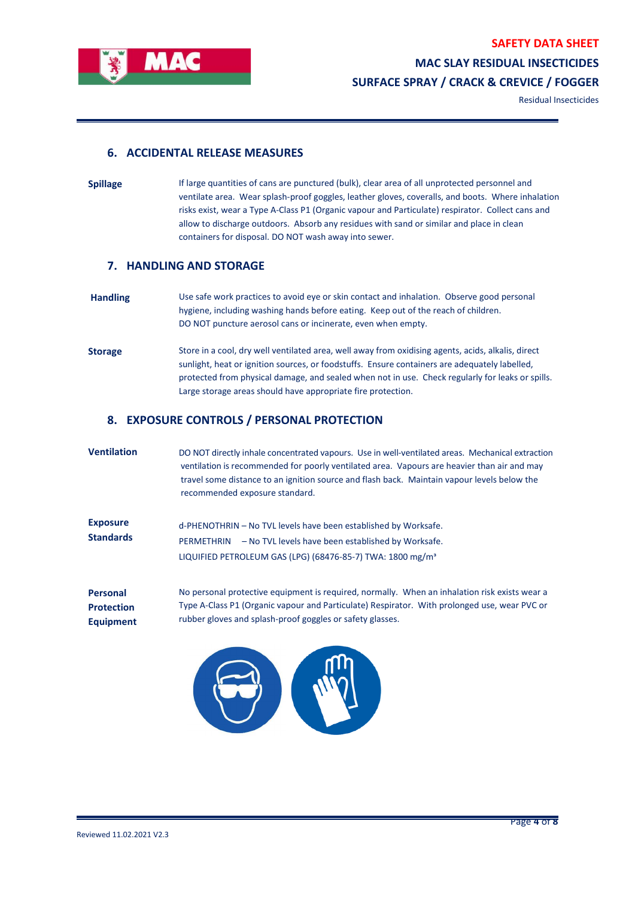

#### **6. ACCIDENTAL RELEASE MEASURES**

**Spillage** If large quantities of cans are punctured (bulk), clear area of all unprotected personnel and ventilate area. Wear splash-proof goggles, leather gloves, coveralls, and boots. Where inhalation risks exist, wear a Type A-Class P1 (Organic vapour and Particulate) respirator. Collect cans and allow to discharge outdoors. Absorb any residues with sand or similar and place in clean containers for disposal. DO NOT wash away into sewer.

#### **7. HANDLING AND STORAGE**

- **Handling** Use safe work practices to avoid eye or skin contact and inhalation. Observe good personal hygiene, including washing hands before eating. Keep out of the reach of children. DO NOT puncture aerosol cans or incinerate, even when empty.
- Storage Store in a cool, dry well ventilated area, well away from oxidising agents, acids, alkalis, direct sunlight, heat or ignition sources, or foodstuffs. Ensure containers are adequately labelled, protected from physical damage, and sealed when not in use. Check regularly for leaks or spills. Large storage areas should have appropriate fire protection.

#### **8. EXPOSURE CONTROLS / PERSONAL PROTECTION**

**Ventilation** DO NOT directly inhale concentrated vapours. Use in well-ventilated areas. Mechanical extraction ventilation is recommended for poorly ventilated area. Vapours are heavier than air and may travel some distance to an ignition source and flash back. Maintain vapour levels below the recommended exposure standard. **Exposure Standards** d-PHENOTHRIN – No TVL levels have been established by Worksafe. PERMETHRIN – No TVL levels have been established by Worksafe. LIQUIFIED PETROLEUM GAS (LPG) (68476-85-7) TWA: 1800 mg/m<sup>3</sup> **Personal Protection Equipment** No personal protective equipment is required, normally. When an inhalation risk exists wear a Type A-Class P1 (Organic vapour and Particulate) Respirator. With prolonged use, wear PVC or rubber gloves and splash-proof goggles or safety glasses.

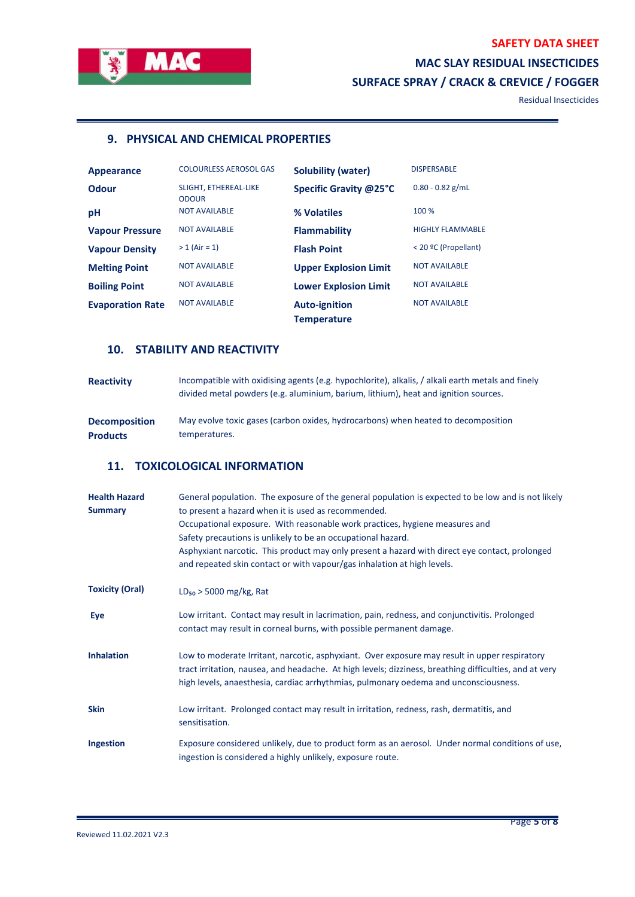

Residual Insecticides

# **9. PHYSICAL AND CHEMICAL PROPERTIES**

| Appearance              | <b>COLOURLESS AEROSOL GAS</b>         | <b>Solubility (water)</b>                  | <b>DISPERSABLE</b>      |
|-------------------------|---------------------------------------|--------------------------------------------|-------------------------|
| <b>Odour</b>            | SLIGHT, ETHEREAL-LIKE<br><b>ODOUR</b> | Specific Gravity @25°C                     | $0.80 - 0.82$ g/mL      |
| pH                      | <b>NOT AVAILABLE</b>                  | % Volatiles                                | 100 %                   |
| <b>Vapour Pressure</b>  | <b>NOT AVAILABLE</b>                  | <b>Flammability</b>                        | <b>HIGHLY FLAMMABLE</b> |
| <b>Vapour Density</b>   | $> 1$ (Air = 1)                       | <b>Flash Point</b>                         | < 20 °C (Propellant)    |
| <b>Melting Point</b>    | <b>NOT AVAILABLE</b>                  | <b>Upper Explosion Limit</b>               | <b>NOT AVAILABLE</b>    |
| <b>Boiling Point</b>    | <b>NOT AVAILABLE</b>                  | <b>Lower Explosion Limit</b>               | <b>NOT AVAILABLE</b>    |
| <b>Evaporation Rate</b> | <b>NOT AVAILABLE</b>                  | <b>Auto-ignition</b><br><b>Temperature</b> | <b>NOT AVAILABLE</b>    |

# **10. STABILITY AND REACTIVITY**

| <b>Reactivity</b>    | Incompatible with oxidising agents (e.g. hypochlorite), alkalis, / alkali earth metals and finely<br>divided metal powders (e.g. aluminium, barium, lithium), heat and ignition sources. |
|----------------------|------------------------------------------------------------------------------------------------------------------------------------------------------------------------------------------|
| <b>Decomposition</b> | May evolve toxic gases (carbon oxides, hydrocarbons) when heated to decomposition                                                                                                        |
| <b>Products</b>      | temperatures.                                                                                                                                                                            |

## **11. TOXICOLOGICAL INFORMATION**

| <b>Health Hazard</b><br><b>Summary</b> | General population. The exposure of the general population is expected to be low and is not likely<br>to present a hazard when it is used as recommended.<br>Occupational exposure. With reasonable work practices, hygiene measures and<br>Safety precautions is unlikely to be an occupational hazard.<br>Asphyxiant narcotic. This product may only present a hazard with direct eye contact, prolonged<br>and repeated skin contact or with vapour/gas inhalation at high levels. |
|----------------------------------------|---------------------------------------------------------------------------------------------------------------------------------------------------------------------------------------------------------------------------------------------------------------------------------------------------------------------------------------------------------------------------------------------------------------------------------------------------------------------------------------|
| <b>Toxicity (Oral)</b>                 | $LD_{50}$ > 5000 mg/kg, Rat                                                                                                                                                                                                                                                                                                                                                                                                                                                           |
| Eye                                    | Low irritant. Contact may result in lacrimation, pain, redness, and conjunctivitis. Prolonged<br>contact may result in corneal burns, with possible permanent damage.                                                                                                                                                                                                                                                                                                                 |
| <b>Inhalation</b>                      | Low to moderate Irritant, narcotic, asphyxiant. Over exposure may result in upper respiratory<br>tract irritation, nausea, and headache. At high levels; dizziness, breathing difficulties, and at very<br>high levels, anaesthesia, cardiac arrhythmias, pulmonary oedema and unconsciousness.                                                                                                                                                                                       |
| <b>Skin</b>                            | Low irritant. Prolonged contact may result in irritation, redness, rash, dermatitis, and<br>sensitisation.                                                                                                                                                                                                                                                                                                                                                                            |
| Ingestion                              | Exposure considered unlikely, due to product form as an aerosol. Under normal conditions of use,<br>ingestion is considered a highly unlikely, exposure route.                                                                                                                                                                                                                                                                                                                        |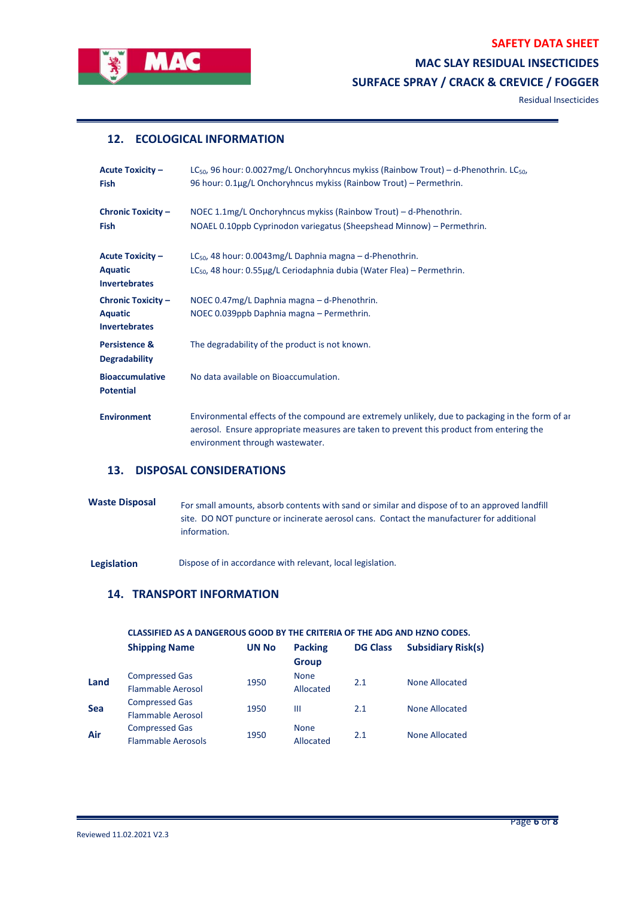

Residual Insecticides

## **12. ECOLOGICAL INFORMATION**

| <b>Acute Toxicity -</b><br><b>Fish</b>                              | LC <sub>50</sub> , 96 hour: 0.0027mg/L Onchoryhncus mykiss (Rainbow Trout) – d-Phenothrin. LC <sub>50</sub> ,<br>96 hour: 0.1µg/L Onchoryhncus mykiss (Rainbow Trout) - Permethrin.                                              |
|---------------------------------------------------------------------|----------------------------------------------------------------------------------------------------------------------------------------------------------------------------------------------------------------------------------|
| <b>Chronic Toxicity -</b><br><b>Fish</b>                            | NOEC 1.1mg/L Onchoryhncus mykiss (Rainbow Trout) - d-Phenothrin.<br>NOAEL 0.10ppb Cyprinodon variegatus (Sheepshead Minnow) - Permethrin.                                                                                        |
| <b>Acute Toxicity -</b><br><b>Aquatic</b><br><b>Invertebrates</b>   | $LC_{50}$ , 48 hour: 0.0043mg/L Daphnia magna – d-Phenothrin.<br>LC <sub>50</sub> , 48 hour: 0.55µg/L Ceriodaphnia dubia (Water Flea) – Permethrin.                                                                              |
| <b>Chronic Toxicity -</b><br><b>Aquatic</b><br><b>Invertebrates</b> | NOEC 0.47mg/L Daphnia magna - d-Phenothrin.<br>NOEC 0.039ppb Daphnia magna - Permethrin.                                                                                                                                         |
| Persistence &<br><b>Degradability</b>                               | The degradability of the product is not known.                                                                                                                                                                                   |
| <b>Bioaccumulative</b><br><b>Potential</b>                          | No data available on Bioaccumulation.                                                                                                                                                                                            |
| <b>Environment</b>                                                  | Environmental effects of the compound are extremely unlikely, due to packaging in the form of are<br>aerosol. Ensure appropriate measures are taken to prevent this product from entering the<br>environment through wastewater. |

## **13. DISPOSAL CONSIDERATIONS**

Waste Disposal For small amounts, absorb contents with sand or similar and dispose of to an approved landfill site. DO NOT puncture or incinerate aerosol cans. Contact the manufacturer for additional information.

Legislation **Dispose of in accordance with relevant, local legislation.** 

## **14. TRANSPORT INFORMATION**

#### **CLASSIFIED AS A DANGEROUS GOOD BY THE CRITERIA OF THE ADG AND HZNO CODES.**

|            | <b>Shipping Name</b>      | <b>UN No</b> | <b>Packing</b> | <b>DG Class</b> | <b>Subsidiary Risk(s)</b> |
|------------|---------------------------|--------------|----------------|-----------------|---------------------------|
|            |                           |              | <b>Group</b>   |                 |                           |
| Land       | <b>Compressed Gas</b>     | 1950         | <b>None</b>    | 2.1             | None Allocated            |
|            | <b>Flammable Aerosol</b>  |              | Allocated      |                 |                           |
| <b>Sea</b> | <b>Compressed Gas</b>     | 1950         | Ш              | 2.1             | None Allocated            |
|            | <b>Flammable Aerosol</b>  |              |                |                 |                           |
| Air        | <b>Compressed Gas</b>     | 1950         | <b>None</b>    | 2.1             | None Allocated            |
|            | <b>Flammable Aerosols</b> |              | Allocated      |                 |                           |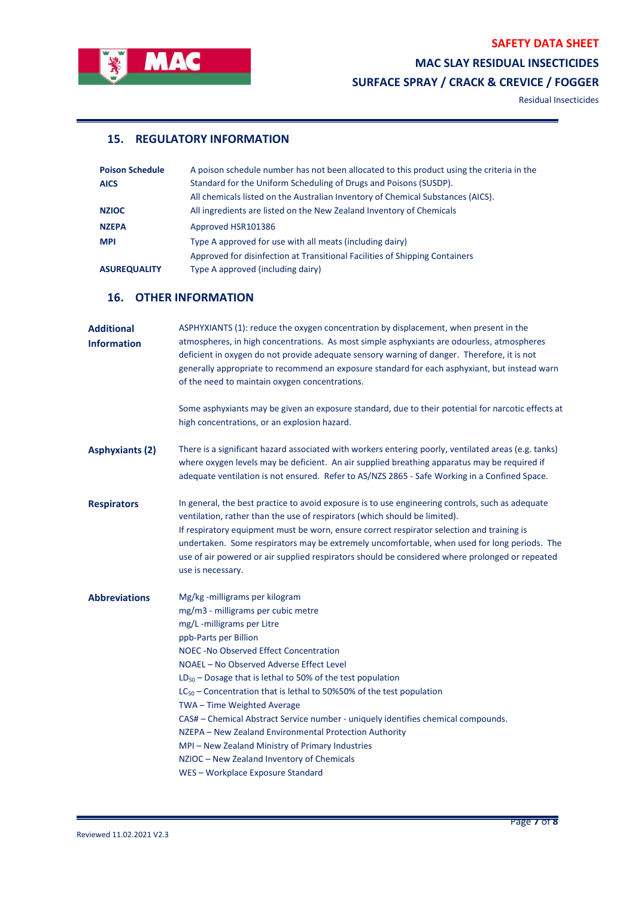

## **SAFETY DATA SHEET**

**MAC SLAY RESIDUAL INSECTICIDES** 

**SURFACE SPRAY / CRACK & CREVICE / FOGGER**

Residual Insecticides

# **15. REGULATORY INFORMATION**

| <b>Poison Schedule</b> | A poison schedule number has not been allocated to this product using the criteria in the |
|------------------------|-------------------------------------------------------------------------------------------|
| <b>AICS</b>            | Standard for the Uniform Scheduling of Drugs and Poisons (SUSDP).                         |
|                        | All chemicals listed on the Australian Inventory of Chemical Substances (AICS).           |
| <b>NZIOC</b>           | All ingredients are listed on the New Zealand Inventory of Chemicals                      |
| <b>NZEPA</b>           | Approved HSR101386                                                                        |
| <b>MPI</b>             | Type A approved for use with all meats (including dairy)                                  |
|                        | Approved for disinfection at Transitional Facilities of Shipping Containers               |
| <b>ASUREQUALITY</b>    | Type A approved (including dairy)                                                         |

#### **16. OTHER INFORMATION**

| <b>Additional</b><br><b>Information</b> | ASPHYXIANTS (1): reduce the oxygen concentration by displacement, when present in the<br>atmospheres, in high concentrations. As most simple asphyxiants are odourless, atmospheres<br>deficient in oxygen do not provide adequate sensory warning of danger. Therefore, it is not<br>generally appropriate to recommend an exposure standard for each asphyxiant, but instead warn<br>of the need to maintain oxygen concentrations.<br>Some asphyxiants may be given an exposure standard, due to their potential for narcotic effects at<br>high concentrations, or an explosion hazard.                                                                                                |
|-----------------------------------------|--------------------------------------------------------------------------------------------------------------------------------------------------------------------------------------------------------------------------------------------------------------------------------------------------------------------------------------------------------------------------------------------------------------------------------------------------------------------------------------------------------------------------------------------------------------------------------------------------------------------------------------------------------------------------------------------|
| <b>Asphyxiants (2)</b>                  | There is a significant hazard associated with workers entering poorly, ventilated areas (e.g. tanks)<br>where oxygen levels may be deficient. An air supplied breathing apparatus may be required if<br>adequate ventilation is not ensured. Refer to AS/NZS 2865 - Safe Working in a Confined Space.                                                                                                                                                                                                                                                                                                                                                                                      |
| <b>Respirators</b>                      | In general, the best practice to avoid exposure is to use engineering controls, such as adequate<br>ventilation, rather than the use of respirators (which should be limited).<br>If respiratory equipment must be worn, ensure correct respirator selection and training is<br>undertaken. Some respirators may be extremely uncomfortable, when used for long periods. The<br>use of air powered or air supplied respirators should be considered where prolonged or repeated<br>use is necessary.                                                                                                                                                                                       |
| <b>Abbreviations</b>                    | Mg/kg -milligrams per kilogram<br>mg/m3 - milligrams per cubic metre<br>mg/L -milligrams per Litre<br>ppb-Parts per Billion<br><b>NOEC-No Observed Effect Concentration</b><br>NOAEL - No Observed Adverse Effect Level<br>$LD_{50}$ – Dosage that is lethal to 50% of the test population<br>$LC_{50}$ – Concentration that is lethal to 50%50% of the test population<br>TWA - Time Weighted Average<br>CAS# - Chemical Abstract Service number - uniquely identifies chemical compounds.<br>NZEPA - New Zealand Environmental Protection Authority<br>MPI - New Zealand Ministry of Primary Industries<br>NZIOC - New Zealand Inventory of Chemicals<br>WES-Workplace Exposure Standard |